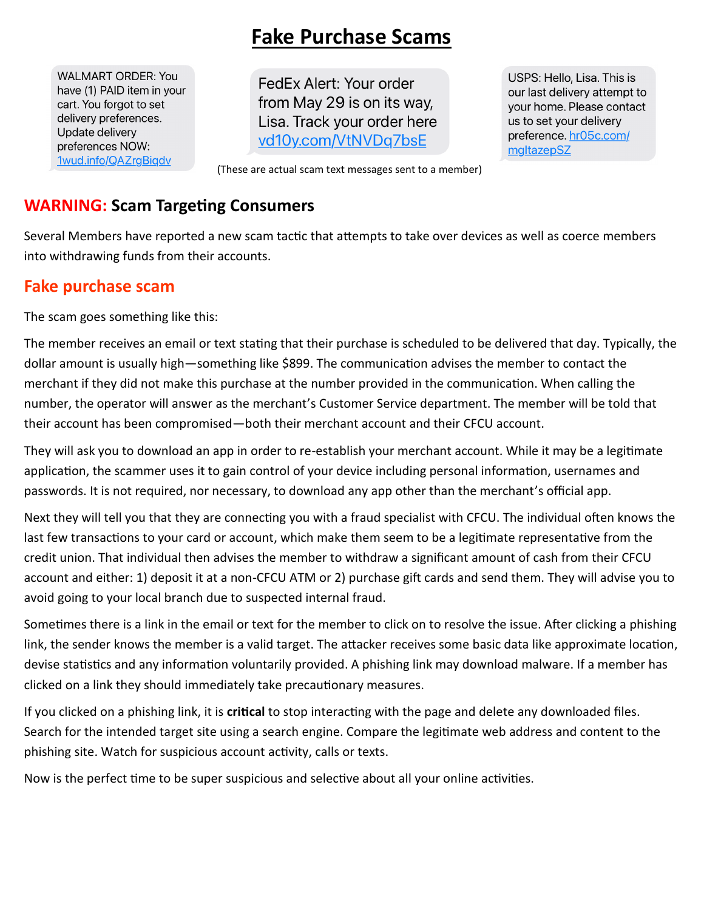# **Fake Purchase Scams**

**WALMART ORDER: You** have (1) PAID item in your cart. You forgot to set delivery preferences. Update delivery preferences NOW: <u>1wud.info/QAZrgBigdv</u>

FedEx Alert: Your order from May 29 is on its way, Lisa. Track your order here vd10y.com/VtNVDq7bsE

USPS: Hello, Lisa. This is our last delivery attempt to your home. Please contact us to set your delivery preference. hr05c.com/ mgltazepSZ

(These are actual scam text messages sent to a member)

## **WARNING: Scam Targeting Consumers**

Several Members have reported a new scam tactic that attempts to take over devices as well as coerce members into withdrawing funds from their accounts.

# **Fake purchase scam**

The scam goes something like this:

The member receives an email or text stating that their purchase is scheduled to be delivered that day. Typically, the dollar amount is usually high—something like \$899. The communication advises the member to contact the merchant if they did not make this purchase at the number provided in the communication. When calling the number, the operator will answer as the merchant's Customer Service department. The member will be told that their account has been compromised—both their merchant account and their CFCU account.

They will ask you to download an app in order to re-establish your merchant account. While it may be a legitimate application, the scammer uses it to gain control of your device including personal information, usernames and passwords. It is not required, nor necessary, to download any app other than the merchant's official app.

Next they will tell you that they are connecting you with a fraud specialist with CFCU. The individual often knows the last few transactions to your card or account, which make them seem to be a legitimate representative from the credit union. That individual then advises the member to withdraw a significant amount of cash from their CFCU account and either: 1) deposit it at a non-CFCU ATM or 2) purchase gift cards and send them. They will advise you to avoid going to your local branch due to suspected internal fraud.

Sometimes there is a link in the email or text for the member to click on to resolve the issue. After clicking a phishing link, the sender knows the member is a valid target. The attacker receives some basic data like approximate location, devise statistics and any information voluntarily provided. A phishing link may download malware. If a member has clicked on a link they should immediately take precautionary measures.

If you clicked on a phishing link, it is **critical** to stop interacting with the page and delete any downloaded files. Search for the intended target site using a search engine. Compare the legitimate web address and content to the phishing site. Watch for suspicious account activity, calls or texts.

Now is the perfect time to be super suspicious and selective about all your online activities.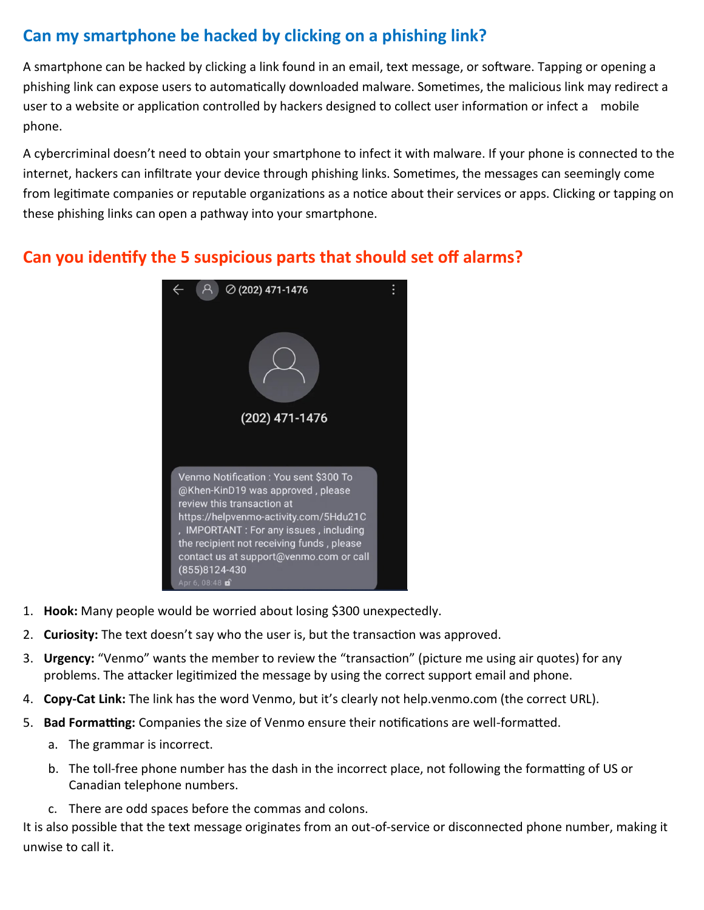# **Can my smartphone be hacked by clicking on a phishing link?**

A smartphone can be hacked by clicking a link found in an email, text message, or software. Tapping or opening a phishing link can expose users to automatically downloaded malware. Sometimes, the malicious link may redirect a user to a website or application controlled by hackers designed to collect user information or infect a mobile phone.

A cybercriminal doesn't need to obtain your smartphone to infect it with malware. If your phone is connected to the internet, hackers can infiltrate your device through phishing links. Sometimes, the messages can seemingly come from legitimate companies or reputable organizations as a notice about their services or apps. Clicking or tapping on these phishing links can open a pathway into your smartphone.

# **Can you identify the 5 suspicious parts that should set off alarms?**



- 1. **Hook:** Many people would be worried about losing \$300 unexpectedly.
- 2. **Curiosity:** The text doesn't say who the user is, but the transaction was approved.
- 3. **Urgency:** "Venmo" wants the member to review the "transaction" (picture me using air quotes) for any problems. The attacker legitimized the message by using the correct support email and phone.
- 4. **Copy-Cat Link:** The link has the word Venmo, but it's clearly not help.venmo.com (the correct URL).
- 5. **Bad Formatting:** Companies the size of Venmo ensure their notifications are well-formatted.
	- a. The grammar is incorrect.
	- b. The toll-free phone number has the dash in the incorrect place, not following the formatting of US or Canadian telephone numbers.
	- c. There are odd spaces before the commas and colons.

It is also possible that the text message originates from an out-of-service or disconnected phone number, making it unwise to call it.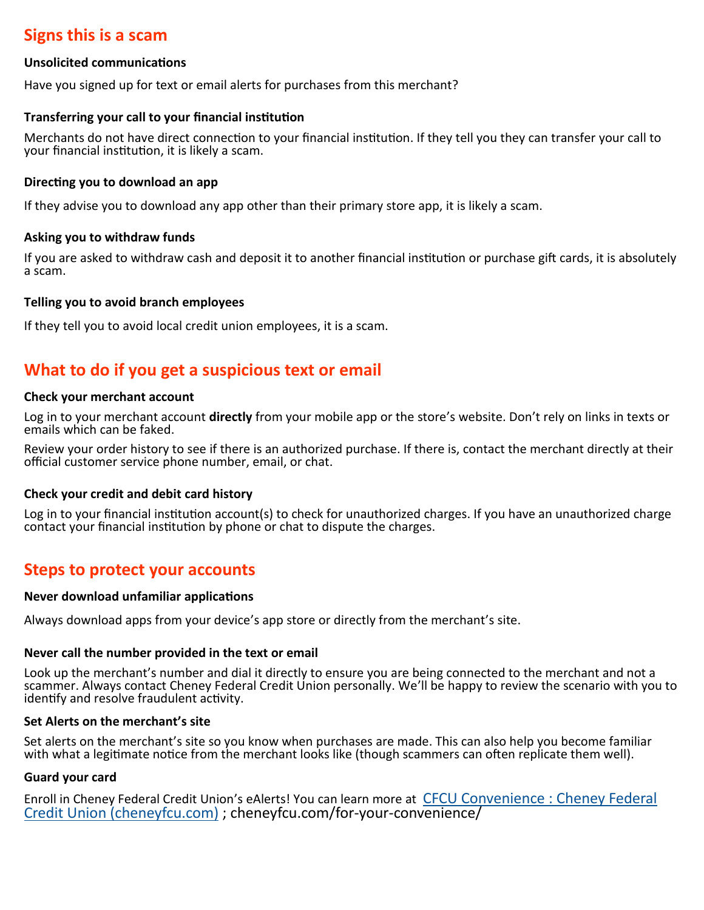## **Signs this is a scam**

#### **Unsolicited communications**

Have you signed up for text or email alerts for purchases from this merchant?

#### **Transferring your call to your financial institution**

Merchants do not have direct connection to your financial institution. If they tell you they can transfer your call to your financial institution, it is likely a scam.

#### **Directing you to download an app**

If they advise you to download any app other than their primary store app, it is likely a scam.

#### **Asking you to withdraw funds**

If you are asked to withdraw cash and deposit it to another financial institution or purchase gift cards, it is absolutely a scam.

#### **Telling you to avoid branch employees**

If they tell you to avoid local credit union employees, it is a scam.

## **What to do if you get a suspicious text or email**

#### **Check your merchant account**

Log in to your merchant account **directly** from your mobile app or the store's website. Don't rely on links in texts or emails which can be faked.

Review your order history to see if there is an authorized purchase. If there is, contact the merchant directly at their official customer service phone number, email, or chat.

#### **Check your credit and debit card history**

Log in to your financial institution account(s) to check for unauthorized charges. If you have an unauthorized charge contact your financial institution by phone or chat to dispute the charges.

### **Steps to protect your accounts**

#### **Never download unfamiliar applications**

Always download apps from your device's app store or directly from the merchant's site.

### **Never call the number provided in the text or email**

Look up the merchant's number and dial it directly to ensure you are being connected to the merchant and not a scammer. Always contact Cheney Federal Credit Union personally. We'll be happy to review the scenario with you to identify and resolve fraudulent activity.

### **Set Alerts on the merchant's site**

Set alerts on the merchant's site so you know when purchases are made. This can also help you become familiar with what a legitimate notice from the merchant looks like (though scammers can often replicate them well).

### **Guard your card**

Enroll in Cheney Federal Credit Union's eAlerts! You can learn more at [CFCU Convenience : Cheney Federal](https://cheneyfcu.com/for-your-convenience/)  [Credit Union \(cheneyfcu.com\)](https://cheneyfcu.com/for-your-convenience/) ; cheneyfcu.com/for-your-convenience/